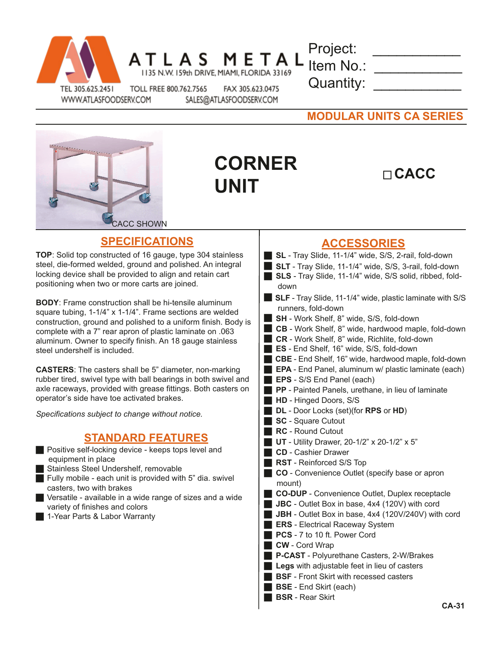| TEL 305.625.2451 |
|------------------|

WWW.ATLASFOODSERV.COM

TOLL FREE 800.762.7565 FAX 305.623.0475

1135 N.W. 159th DRIVE, MIAMI, FLORIDA 33169

Project: \_\_\_\_\_\_\_\_\_\_\_\_\_\_ Item No.:  \_\_\_\_\_\_\_\_\_\_\_ Quantity:

SALES@ATLASFOODSERV.COM

**MODULAR UNITS CA SERIES**



## **CORNER UNIT**

## **CACC**

## **ACCESSORIES**

- **SL** Tray Slide, 11-1/4" wide, S/S, 2-rail, fold-down
- **SLT** Tray Slide, 11-1/4" wide, S/S, 3-rail, fold-down
- **SLS** Tray Slide, 11-1/4" wide, S/S solid, ribbed, folddown
- **SLF** Tray Slide, 11-1/4" wide, plastic laminate with S/S runners, fold-down
- **SH** Work Shelf, 8" wide, S/S, fold-down
- **CB** Work Shelf, 8" wide, hardwood maple, fold-down
- **CR** Work Shelf, 8" wide, Richlite, fold-down
- **ES** End Shelf, 16" wide, S/S, fold-down
- **CBE** End Shelf, 16" wide, hardwood maple, fold-down
- **EPA** End Panel, aluminum w/ plastic laminate (each)
- **EPS** S/S End Panel (each)
- **PP** Painted Panels, urethane, in lieu of laminate
- **HD** Hinged Doors, S/S
- **DL** Door Locks (set)(for **RPS** or **HD**)
- **SC** Square Cutout
- **RC** Round Cutout
- **UT** Utility Drawer, 20-1/2" x 20-1/2" x 5"
- **CD** Cashier Drawer
- **RST** Reinforced S/S Top
- **CO** Convenience Outlet (specify base or apron mount)
- **CO-DUP** Convenience Outlet, Duplex receptacle
- **JBC** Outlet Box in base, 4x4 (120V) with cord
- **JBH** Outlet Box in base, 4x4 (120V/240V) with cord
- **ERS** Electrical Raceway System
- **PCS** 7 to 10 ft. Power Cord
- **CW** Cord Wrap
- **P-CAST** Polyurethane Casters, 2-W/Brakes
- **Legs** with adjustable feet in lieu of casters
- **BSF** Front Skirt with recessed casters
- **BSE** End Skirt (each)
- **BSR** Rear Skirt

**TOP**: Solid top constructed of 16 gauge, type 304 stainless steel, die-formed welded, ground and polished. An integral locking device shall be provided to align and retain cart positioning when two or more carts are joined.

**SPECIFICATIONS**

**BODY**: Frame construction shall be hi-tensile aluminum square tubing, 1-1/4" x 1-1/4". Frame sections are welded construction, ground and polished to a uniform finish. Body is complete with a 7" rear apron of plastic laminate on .063 aluminum. Owner to specify finish. An 18 gauge stainless steel undershelf is included.

**CASTERS**: The casters shall be 5" diameter, non-marking rubber tired, swivel type with ball bearings in both swivel and axle raceways, provided with grease fittings. Both casters on operator's side have toe activated brakes.

*Specifications subject to change without notice.*

## **STANDARD FEATURES**

- Positive self-locking device keeps tops level and equipment in place
- Stainless Steel Undershelf, removable
- Fully mobile each unit is provided with  $5$ " dia. swivel casters, two with brakes
- $\blacksquare$  Versatile available in a wide range of sizes and a wide variety of finishes and colors
- 1-Year Parts & Labor Warranty